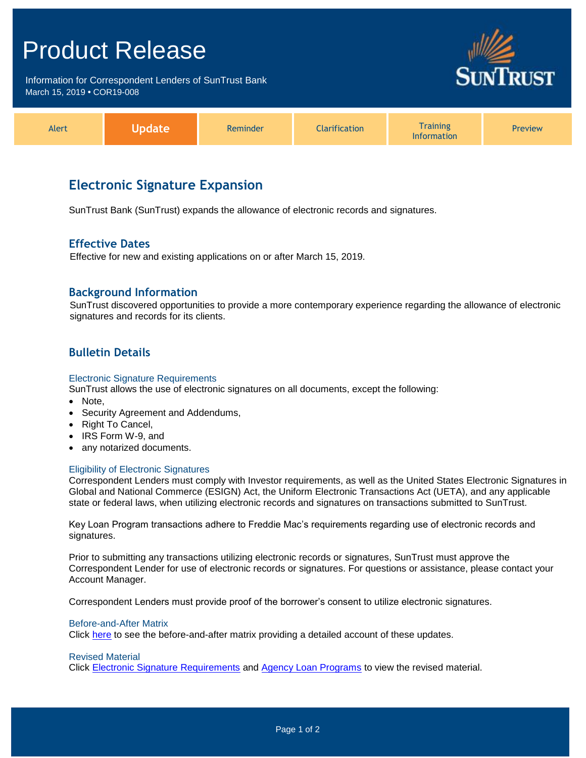## Product Release

Information for Correspondent Lenders of SunTrust Bank March 15, 2019 **•** COR19-008



| <b>Alert</b> |  | Reminder | <b>Tarification</b> | <i><b>Training</b></i><br>nformation | <b>Preview</b> |
|--------------|--|----------|---------------------|--------------------------------------|----------------|
|--------------|--|----------|---------------------|--------------------------------------|----------------|

## **Electronic Signature Expansion**

SunTrust Bank (SunTrust) expands the allowance of electronic records and signatures.

### **Effective Dates**

Effective for new and existing applications on or after March 15, 2019.

### **Background Information**

SunTrust discovered opportunities to provide a more contemporary experience regarding the allowance of electronic signatures and records for its clients.

## **Bulletin Details**

#### Electronic Signature Requirements

SunTrust allows the use of electronic signatures on all documents, except the following:

- Note,
- Security Agreement and Addendums,
- Right To Cancel,
- IRS Form W-9, and
- any notarized documents.

#### Eligibility of Electronic Signatures

Correspondent Lenders must comply with Investor requirements, as well as the United States Electronic Signatures in Global and National Commerce (ESIGN) Act, the Uniform Electronic Transactions Act (UETA), and any applicable state or federal laws, when utilizing electronic records and signatures on transactions submitted to SunTrust.

Key Loan Program transactions adhere to Freddie Mac's requirements regarding use of electronic records and signatures.

Prior to submitting any transactions utilizing electronic records or signatures, SunTrust must approve the Correspondent Lender for use of electronic records or signatures. For questions or assistance, please contact your Account Manager.

Correspondent Lenders must provide proof of the borrower's consent to utilize electronic signatures.

#### Before-and-After Matrix

Click [here](http://www.truistsellerguide.com/manual/cor/products/Cr19-008BA.pdf) to see the before-and-after matrix providing a detailed account of these updates.

#### Revised Material

Click [Electronic Signature Requirements](https://www.truistsellerguide.com/Manual/cor/general/1.32ESignature%20Requirements.pdf) and [Agency Loan Programs](https://www.truistsellerguide.com/Manual/cor/products/CAgency.pdf) to view the revised material.